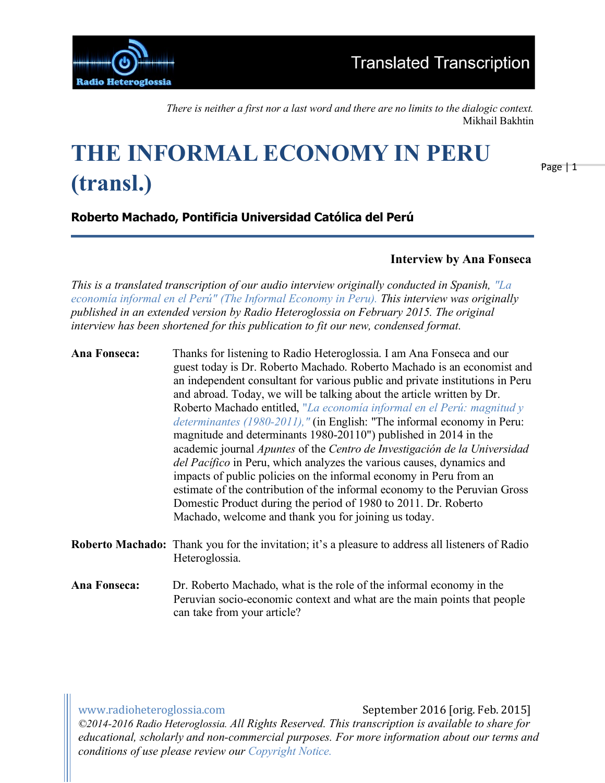

*There is neither a first nor a last word and there are no limits to the dialogic context.* Mikhail Bakhtin

# **THE INFORMAL ECONOMY IN PERU (transl.)**

Page | 1

### **Roberto Machado, Pontificia Universidad Católica del Perú**

### **Interview by Ana Fonseca**

*This is a translated transcription of our audio interview originally conducted in Spanish, "La economía informal en el Perú" (The Informal Economy in Peru). This interview was originally published in an extended version by Radio Heteroglossia on February 2015. The original interview has been shortened for this publication to fit our new, condensed format.*

**Ana Fonseca:** Thanks for listening to Radio Heteroglossia. I am Ana Fonseca and our guest today is Dr. Roberto Machado. Roberto Machado is an economist and an independent consultant for various public and private institutions in Peru and abroad. Today, we will be talking about the article written by Dr. Roberto Machado entitled, "*La economía informal en el Perú: magnitud y determinantes (1980-2011),"* (in English: "The informal economy in Peru: magnitude and determinants 1980-20110") published in 2014 in the academic journal *Apuntes* of the *Centro de Investigación de la Universidad del Pacífico* in Peru, which analyzes the various causes, dynamics and impacts of public policies on the informal economy in Peru from an estimate of the contribution of the informal economy to the Peruvian Gross Domestic Product during the period of 1980 to 2011. Dr. Roberto Machado, welcome and thank you for joining us today.

- **Roberto Machado:** Thank you for the invitation; it's a pleasure to address all listeners of Radio Heteroglossia.
- **Ana Fonseca:** Dr. Roberto Machado, what is the role of the informal economy in the Peruvian socio-economic context and what are the main points that people can take from your article?

www.radioheteroglossia.com September 2016 [orig. Feb. 2015]

*©2014-2016 Radio Heteroglossia. All Rights Reserved. This transcription is available to share for educational, scholarly and non-commercial purposes. For more information about our terms and conditions of use please review our Copyright Notice.*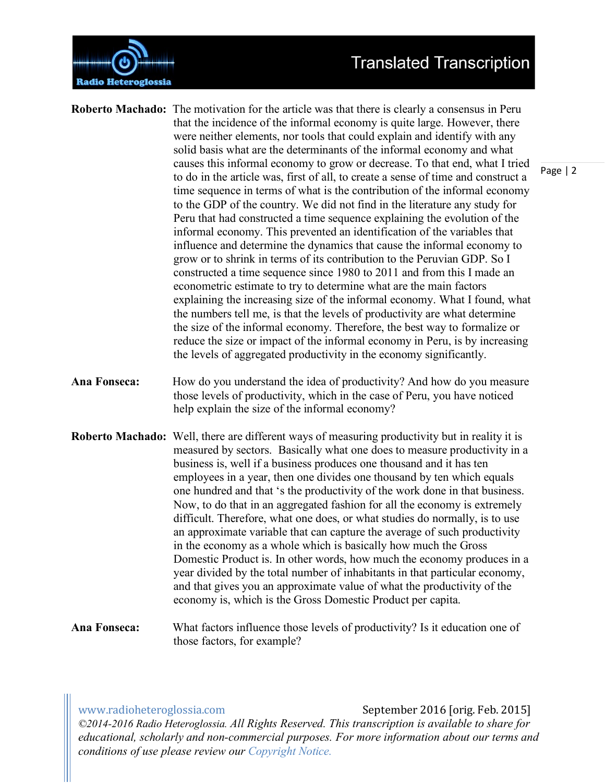

- **Roberto Machado:** The motivation for the article was that there is clearly a consensus in Peru that the incidence of the informal economy is quite large. However, there were neither elements, nor tools that could explain and identify with any solid basis what are the determinants of the informal economy and what causes this informal economy to grow or decrease. To that end, what I tried to do in the article was, first of all, to create a sense of time and construct a time sequence in terms of what is the contribution of the informal economy to the GDP of the country. We did not find in the literature any study for Peru that had constructed a time sequence explaining the evolution of the informal economy. This prevented an identification of the variables that influence and determine the dynamics that cause the informal economy to grow or to shrink in terms of its contribution to the Peruvian GDP. So I constructed a time sequence since 1980 to 2011 and from this I made an econometric estimate to try to determine what are the main factors explaining the increasing size of the informal economy. What I found, what the numbers tell me, is that the levels of productivity are what determine the size of the informal economy. Therefore, the best way to formalize or reduce the size or impact of the informal economy in Peru, is by increasing the levels of aggregated productivity in the economy significantly.
- **Ana Fonseca:** How do you understand the idea of productivity? And how do you measure those levels of productivity, which in the case of Peru, you have noticed help explain the size of the informal economy?
- **Roberto Machado:** Well, there are different ways of measuring productivity but in reality it is measured by sectors. Basically what one does to measure productivity in a business is, well if a business produces one thousand and it has ten employees in a year, then one divides one thousand by ten which equals one hundred and that 's the productivity of the work done in that business. Now, to do that in an aggregated fashion for all the economy is extremely difficult. Therefore, what one does, or what studies do normally, is to use an approximate variable that can capture the average of such productivity in the economy as a whole which is basically how much the Gross Domestic Product is. In other words, how much the economy produces in a year divided by the total number of inhabitants in that particular economy, and that gives you an approximate value of what the productivity of the economy is, which is the Gross Domestic Product per capita.
- **Ana Fonseca:** What factors influence those levels of productivity? Is it education one of those factors, for example?

www.radioheteroglossia.com September 2016 [orig. Feb. 2015]

*©2014-2016 Radio Heteroglossia. All Rights Reserved. This transcription is available to share for educational, scholarly and non-commercial purposes. For more information about our terms and conditions of use please review our Copyright Notice.*

Page | 2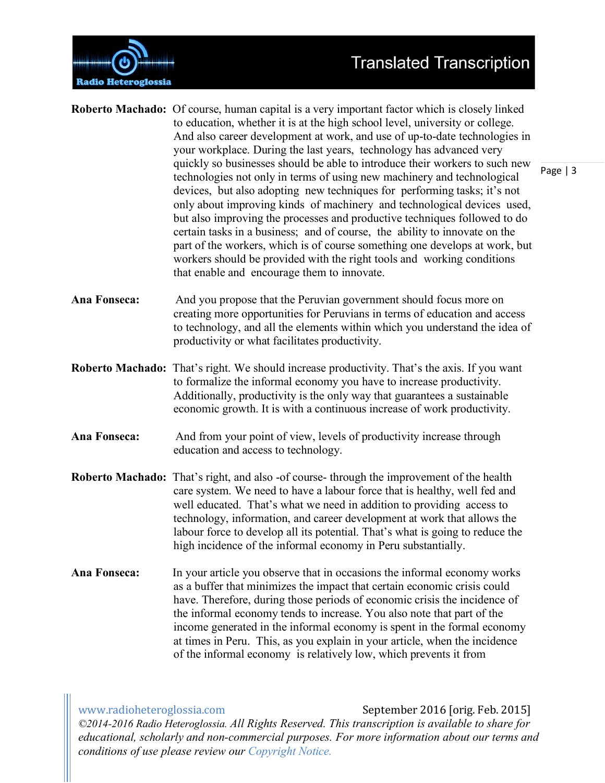

|                     | Roberto Machado: Of course, human capital is a very important factor which is closely linked<br>to education, whether it is at the high school level, university or college.<br>And also career development at work, and use of up-to-date technologies in<br>your workplace. During the last years, technology has advanced very<br>quickly so businesses should be able to introduce their workers to such new                                                                                                                                                                                  | Page   3 |
|---------------------|---------------------------------------------------------------------------------------------------------------------------------------------------------------------------------------------------------------------------------------------------------------------------------------------------------------------------------------------------------------------------------------------------------------------------------------------------------------------------------------------------------------------------------------------------------------------------------------------------|----------|
|                     | technologies not only in terms of using new machinery and technological<br>devices, but also adopting new techniques for performing tasks; it's not<br>only about improving kinds of machinery and technological devices used,<br>but also improving the processes and productive techniques followed to do<br>certain tasks in a business; and of course, the ability to innovate on the<br>part of the workers, which is of course something one develops at work, but<br>workers should be provided with the right tools and working conditions<br>that enable and encourage them to innovate. |          |
| Ana Fonseca:        | And you propose that the Peruvian government should focus more on<br>creating more opportunities for Peruvians in terms of education and access<br>to technology, and all the elements within which you understand the idea of<br>productivity or what facilitates productivity.                                                                                                                                                                                                                                                                                                                  |          |
|                     | Roberto Machado: That's right. We should increase productivity. That's the axis. If you want<br>to formalize the informal economy you have to increase productivity.<br>Additionally, productivity is the only way that guarantees a sustainable<br>economic growth. It is with a continuous increase of work productivity.                                                                                                                                                                                                                                                                       |          |
| Ana Fonseca:        | And from your point of view, levels of productivity increase through<br>education and access to technology.                                                                                                                                                                                                                                                                                                                                                                                                                                                                                       |          |
|                     | Roberto Machado: That's right, and also -of course-through the improvement of the health<br>care system. We need to have a labour force that is healthy, well fed and<br>well educated. That's what we need in addition to providing access to<br>technology, information, and career development at work that allows the<br>labour force to develop all its potential. That's what is going to reduce the<br>high incidence of the informal economy in Peru substantially.                                                                                                                       |          |
| <b>Ana Fonseca:</b> | In your article you observe that in occasions the informal economy works<br>as a buffer that minimizes the impact that certain economic crisis could<br>have. Therefore, during those periods of economic crisis the incidence of                                                                                                                                                                                                                                                                                                                                                                 |          |

www.radioheteroglossia.com September 2016 [orig. Feb. 2015] *©2014-2016 Radio Heteroglossia. All Rights Reserved. This transcription is available to share for educational, scholarly and non-commercial purposes. For more information about our terms and conditions of use please review our Copyright Notice.*

the informal economy tends to increase. You also note that part of the income generated in the informal economy is spent in the formal economy at times in Peru. This, as you explain in your article, when the incidence

of the informal economy is relatively low, which prevents it from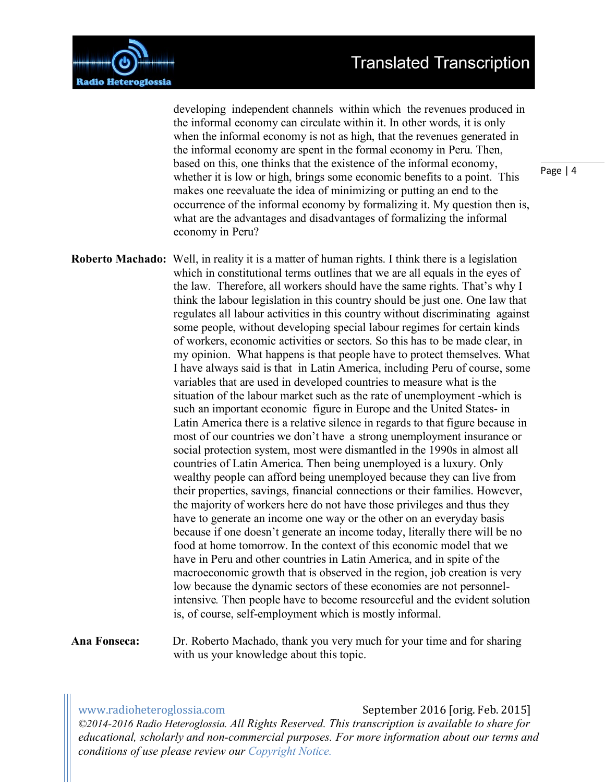

developing independent channels within which the revenues produced in the informal economy can circulate within it. In other words, it is only when the informal economy is not as high, that the revenues generated in the informal economy are spent in the formal economy in Peru. Then, based on this, one thinks that the existence of the informal economy, whether it is low or high, brings some economic benefits to a point. This makes one reevaluate the idea of minimizing or putting an end to the occurrence of the informal economy by formalizing it. My question then is, what are the advantages and disadvantages of formalizing the informal economy in Peru?

**Roberto Machado:** Well, in reality it is a matter of human rights. I think there is a legislation which in constitutional terms outlines that we are all equals in the eyes of the law. Therefore, all workers should have the same rights. That's why I think the labour legislation in this country should be just one. One law that regulates all labour activities in this country without discriminating against some people, without developing special labour regimes for certain kinds of workers, economic activities or sectors. So this has to be made clear, in my opinion. What happens is that people have to protect themselves. What I have always said is that in Latin America, including Peru of course, some variables that are used in developed countries to measure what is the situation of the labour market such as the rate of unemployment -which is such an important economic figure in Europe and the United States- in Latin America there is a relative silence in regards to that figure because in most of our countries we don't have a strong unemployment insurance or social protection system, most were dismantled in the 1990s in almost all countries of Latin America. Then being unemployed is a luxury. Only wealthy people can afford being unemployed because they can live from their properties, savings, financial connections or their families. However, the majority of workers here do not have those privileges and thus they have to generate an income one way or the other on an everyday basis because if one doesn't generate an income today, literally there will be no food at home tomorrow. In the context of this economic model that we have in Peru and other countries in Latin America, and in spite of the macroeconomic growth that is observed in the region, job creation is very low because the dynamic sectors of these economies are not personnelintensive*.* Then people have to become resourceful and the evident solution is, of course, self-employment which is mostly informal.

**Ana Fonseca:** Dr. Roberto Machado, thank you very much for your time and for sharing with us your knowledge about this topic.

www.radioheteroglossia.com September 2016 [orig. Feb. 2015]

*©2014-2016 Radio Heteroglossia. All Rights Reserved. This transcription is available to share for educational, scholarly and non-commercial purposes. For more information about our terms and conditions of use please review our Copyright Notice.*

Page | 4